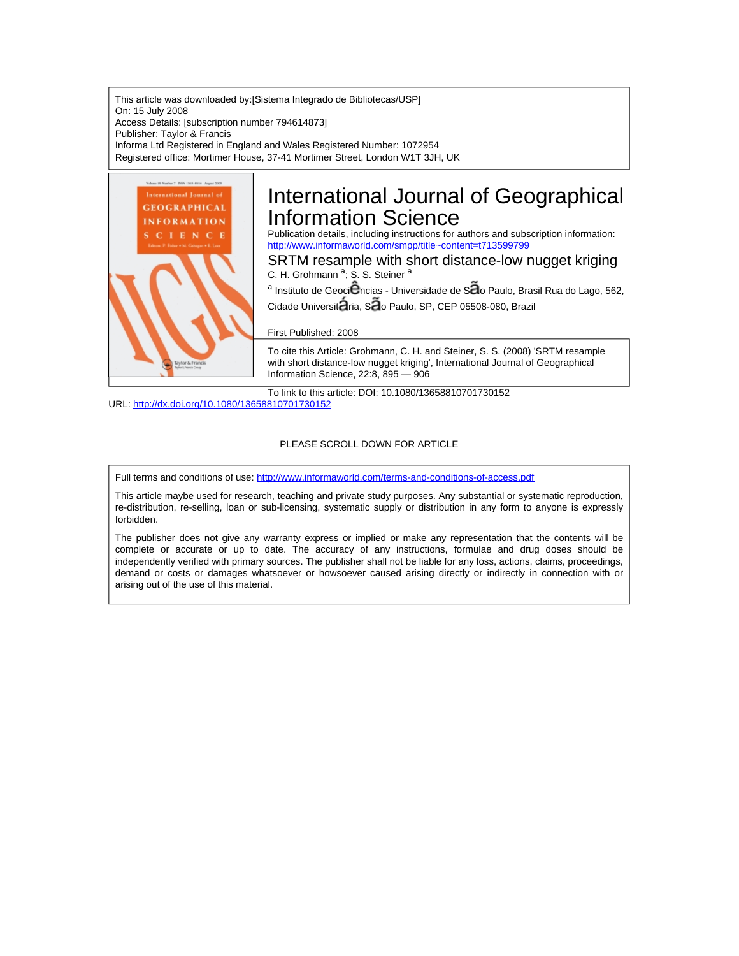This article was downloaded by:[Sistema Integrado de Bibliotecas/USP] On: 15 July 2008 Access Details: [subscription number 794614873] Publisher: Taylor & Francis Informa Ltd Registered in England and Wales Registered Number: 1072954 Registered office: Mortimer House, 37-41 Mortimer Street, London W1T 3JH, UK



# International Journal of Geographical Information Science

Publication details, including instructions for authors and subscription information: <http://www.informaworld.com/smpp/title~content=t713599799>

SRTM resample with short distance-low nugget kriging C. H. Grohmann <sup>a</sup>; S. S. Steiner <sup>a</sup>

<sup>a</sup> Instituto de Geoci<sup>e</sup>ncias - Universidade de Sao Paulo, Brasil Rua do Lago, 562, Cidade Universit $\tilde{a}$ ria, S $\tilde{a}$ o Paulo, SP, CEP 05508-080, Brazil

#### First Published: 2008

To cite this Article: Grohmann, C. H. and Steiner, S. S. (2008) 'SRTM resample with short distance-low nugget kriging', International Journal of Geographical Information Science, 22:8, 895 — 906

To link to this article: DOI: 10.1080/13658810701730152 URL: <http://dx.doi.org/10.1080/13658810701730152>

#### PLEASE SCROLL DOWN FOR ARTICLE

Full terms and conditions of use: <http://www.informaworld.com/terms-and-conditions-of-access.pdf>

This article maybe used for research, teaching and private study purposes. Any substantial or systematic reproduction, re-distribution, re-selling, loan or sub-licensing, systematic supply or distribution in any form to anyone is expressly forbidden.

The publisher does not give any warranty express or implied or make any representation that the contents will be complete or accurate or up to date. The accuracy of any instructions, formulae and drug doses should be independently verified with primary sources. The publisher shall not be liable for any loss, actions, claims, proceedings, demand or costs or damages whatsoever or howsoever caused arising directly or indirectly in connection with or arising out of the use of this material.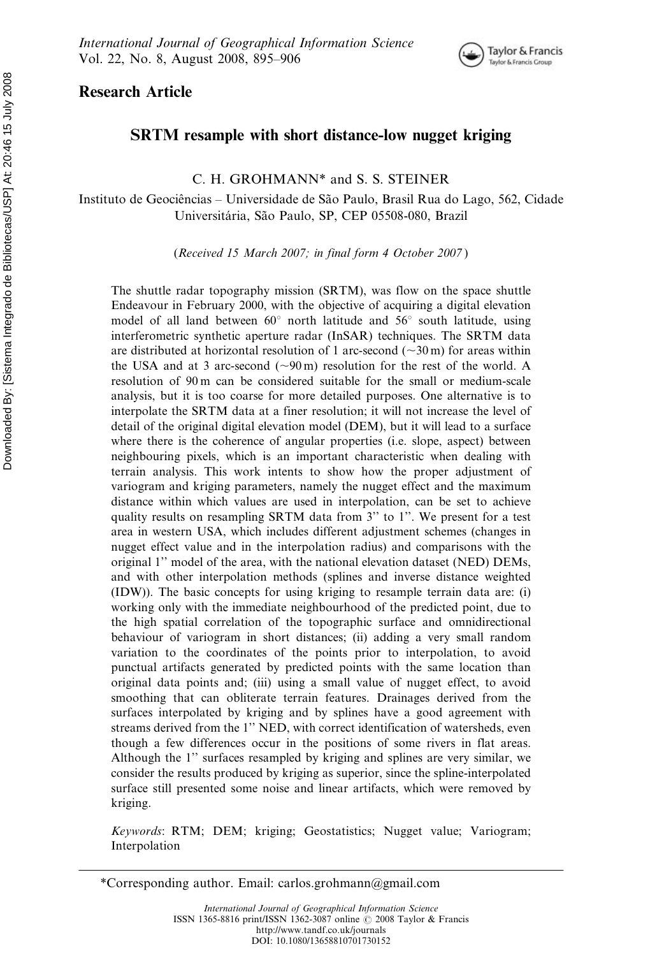

# Research Article

# SRTM resample with short distance-low nugget kriging

C. H. GROHMANN\* and S. S. STEINER

Instituto de Geociências – Universidade de São Paulo, Brasil Rua do Lago, 562, Cidade Universitária, São Paulo, SP, CEP 05508-080, Brazil

(Received 15 March 2007; in final form 4 October 2007 )

The shuttle radar topography mission (SRTM), was flow on the space shuttle Endeavour in February 2000, with the objective of acquiring a digital elevation model of all land between  $60^{\circ}$  north latitude and  $56^{\circ}$  south latitude, using interferometric synthetic aperture radar (InSAR) techniques. The SRTM data are distributed at horizontal resolution of 1 arc-second ( $\sim$ 30 m) for areas within the USA and at 3 arc-second  $(\sim 90 \,\text{m})$  resolution for the rest of the world. A resolution of 90 m can be considered suitable for the small or medium-scale analysis, but it is too coarse for more detailed purposes. One alternative is to interpolate the SRTM data at a finer resolution; it will not increase the level of detail of the original digital elevation model (DEM), but it will lead to a surface where there is the coherence of angular properties (i.e. slope, aspect) between neighbouring pixels, which is an important characteristic when dealing with terrain analysis. This work intents to show how the proper adjustment of variogram and kriging parameters, namely the nugget effect and the maximum distance within which values are used in interpolation, can be set to achieve quality results on resampling SRTM data from 3'' to 1''. We present for a test area in western USA, which includes different adjustment schemes (changes in nugget effect value and in the interpolation radius) and comparisons with the original 1'' model of the area, with the national elevation dataset (NED) DEMs, and with other interpolation methods (splines and inverse distance weighted (IDW)). The basic concepts for using kriging to resample terrain data are: (i) working only with the immediate neighbourhood of the predicted point, due to the high spatial correlation of the topographic surface and omnidirectional behaviour of variogram in short distances; (ii) adding a very small random variation to the coordinates of the points prior to interpolation, to avoid punctual artifacts generated by predicted points with the same location than original data points and; (iii) using a small value of nugget effect, to avoid smoothing that can obliterate terrain features. Drainages derived from the surfaces interpolated by kriging and by splines have a good agreement with streams derived from the 1'' NED, with correct identification of watersheds, even though a few differences occur in the positions of some rivers in flat areas. Although the 1'' surfaces resampled by kriging and splines are very similar, we consider the results produced by kriging as superior, since the spline-interpolated surface still presented some noise and linear artifacts, which were removed by kriging.

Keywords: RTM; DEM; kriging; Geostatistics; Nugget value; Variogram; Interpolation

<sup>\*</sup>Corresponding author. Email: carlos.grohmann@gmail.com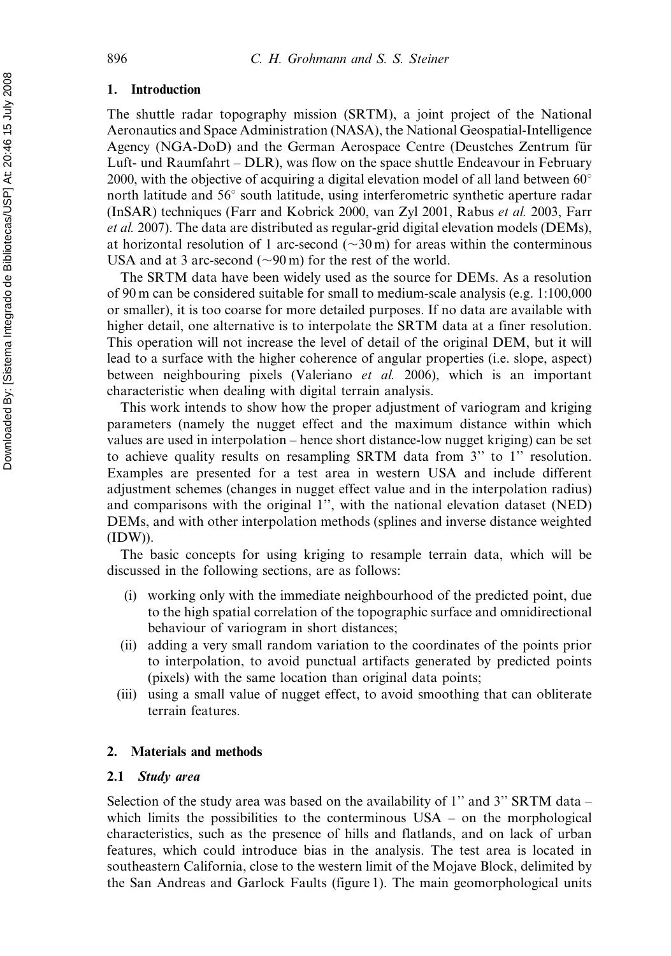### 1. Introduction

The shuttle radar topography mission (SRTM), a joint project of the National Aeronautics and Space Administration (NASA), the National Geospatial-Intelligence Agency (NGA-DoD) and the German Aerospace Centre (Deustches Zentrum für Luft- und Raumfahrt – DLR), was flow on the space shuttle Endeavour in February 2000, with the objective of acquiring a digital elevation model of all land between  $60^{\circ}$ north latitude and  $56^{\circ}$  south latitude, using interferometric synthetic aperture radar (InSAR) techniques (Farr and Kobrick 2000, van Zyl 2001, Rabus et al. 2003, Farr et al. 2007). The data are distributed as regular-grid digital elevation models (DEMs), at horizontal resolution of 1 arc-second ( $\sim$ 30 m) for areas within the conterminous USA and at 3 arc-second  $({\sim}90 \,\text{m})$  for the rest of the world.

The SRTM data have been widely used as the source for DEMs. As a resolution of 90 m can be considered suitable for small to medium-scale analysis (e.g. 1:100,000 or smaller), it is too coarse for more detailed purposes. If no data are available with higher detail, one alternative is to interpolate the SRTM data at a finer resolution. This operation will not increase the level of detail of the original DEM, but it will lead to a surface with the higher coherence of angular properties (i.e. slope, aspect) between neighbouring pixels (Valeriano et al. 2006), which is an important characteristic when dealing with digital terrain analysis.

This work intends to show how the proper adjustment of variogram and kriging parameters (namely the nugget effect and the maximum distance within which values are used in interpolation – hence short distance-low nugget kriging) can be set to achieve quality results on resampling SRTM data from 3'' to 1'' resolution. Examples are presented for a test area in western USA and include different adjustment schemes (changes in nugget effect value and in the interpolation radius) and comparisons with the original 1'', with the national elevation dataset (NED) DEMs, and with other interpolation methods (splines and inverse distance weighted (IDW)).

The basic concepts for using kriging to resample terrain data, which will be discussed in the following sections, are as follows:

- (i) working only with the immediate neighbourhood of the predicted point, due to the high spatial correlation of the topographic surface and omnidirectional behaviour of variogram in short distances;
- (ii) adding a very small random variation to the coordinates of the points prior to interpolation, to avoid punctual artifacts generated by predicted points (pixels) with the same location than original data points;
- (iii) using a small value of nugget effect, to avoid smoothing that can obliterate terrain features.

## 2. Materials and methods

#### 2.1 Study area

Selection of the study area was based on the availability of 1'' and 3'' SRTM data – which limits the possibilities to the conterminous  $USA - on$  the morphological characteristics, such as the presence of hills and flatlands, and on lack of urban features, which could introduce bias in the analysis. The test area is located in southeastern California, close to the western limit of the Mojave Block, delimited by the San Andreas and Garlock Faults (figure 1). The main geomorphological units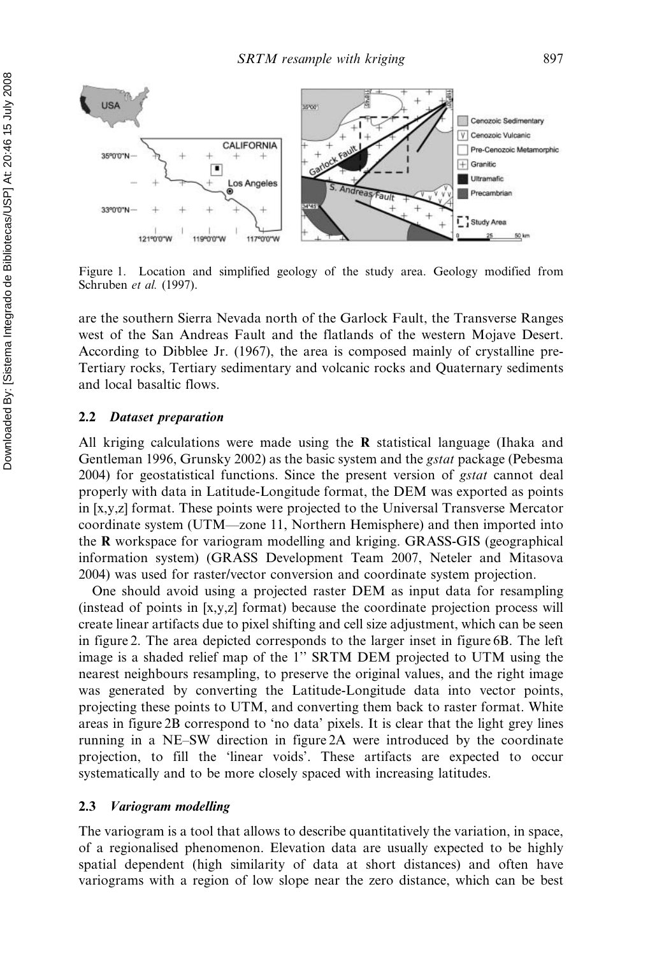

Figure 1. Location and simplified geology of the study area. Geology modified from Schruben et al. (1997).

are the southern Sierra Nevada north of the Garlock Fault, the Transverse Ranges west of the San Andreas Fault and the flatlands of the western Mojave Desert. According to Dibblee Jr. (1967), the area is composed mainly of crystalline pre-Tertiary rocks, Tertiary sedimentary and volcanic rocks and Quaternary sediments and local basaltic flows.

#### 2.2 Dataset preparation

All kriging calculations were made using the  $\bf{R}$  statistical language (Ihaka and Gentleman 1996, Grunsky 2002) as the basic system and the *gstat* package (Pebesma 2004) for geostatistical functions. Since the present version of gstat cannot deal properly with data in Latitude-Longitude format, the DEM was exported as points in [x,y,z] format. These points were projected to the Universal Transverse Mercator coordinate system (UTM—zone 11, Northern Hemisphere) and then imported into the R workspace for variogram modelling and kriging. GRASS-GIS (geographical information system) (GRASS Development Team 2007, Neteler and Mitasova 2004) was used for raster/vector conversion and coordinate system projection.

One should avoid using a projected raster DEM as input data for resampling (instead of points in [x,y,z] format) because the coordinate projection process will create linear artifacts due to pixel shifting and cell size adjustment, which can be seen in figure 2. The area depicted corresponds to the larger inset in figure 6B. The left image is a shaded relief map of the 1'' SRTM DEM projected to UTM using the nearest neighbours resampling, to preserve the original values, and the right image was generated by converting the Latitude-Longitude data into vector points, projecting these points to UTM, and converting them back to raster format. White areas in figure 2B correspond to 'no data' pixels. It is clear that the light grey lines running in a NE–SW direction in figure 2A were introduced by the coordinate projection, to fill the 'linear voids'. These artifacts are expected to occur systematically and to be more closely spaced with increasing latitudes.

#### 2.3 Variogram modelling

The variogram is a tool that allows to describe quantitatively the variation, in space, of a regionalised phenomenon. Elevation data are usually expected to be highly spatial dependent (high similarity of data at short distances) and often have variograms with a region of low slope near the zero distance, which can be best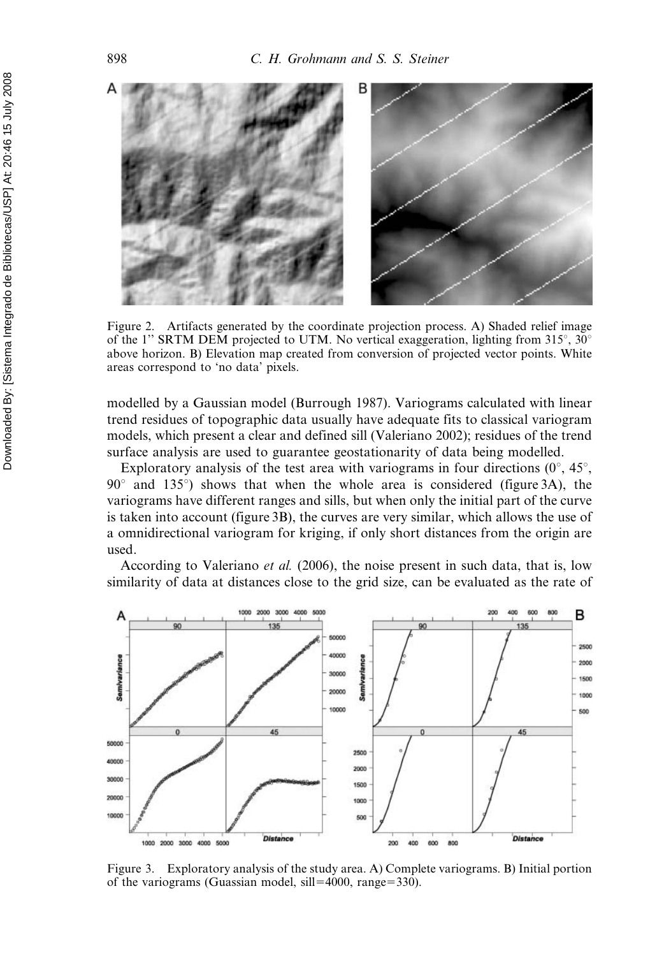

Figure 2. Artifacts generated by the coordinate projection process. A) Shaded relief image of the 1" SRTM DEM projected to UTM. No vertical exaggeration, lighting from  $315^{\circ}$ ,  $30^{\circ}$ above horizon. B) Elevation map created from conversion of projected vector points. White areas correspond to 'no data' pixels.

modelled by a Gaussian model (Burrough 1987). Variograms calculated with linear trend residues of topographic data usually have adequate fits to classical variogram models, which present a clear and defined sill (Valeriano 2002); residues of the trend surface analysis are used to guarantee geostationarity of data being modelled.

Exploratory analysis of the test area with variograms in four directions  $(0^{\circ}, 45^{\circ})$ ,  $90^\circ$  and  $135^\circ$ ) shows that when the whole area is considered (figure 3A), the variograms have different ranges and sills, but when only the initial part of the curve is taken into account (figure 3B), the curves are very similar, which allows the use of a omnidirectional variogram for kriging, if only short distances from the origin are used.

According to Valeriano *et al.* (2006), the noise present in such data, that is, low similarity of data at distances close to the grid size, can be evaluated as the rate of



Figure 3. Exploratory analysis of the study area. A) Complete variograms. B) Initial portion of the variograms (Guassian model, sill=4000, range=330).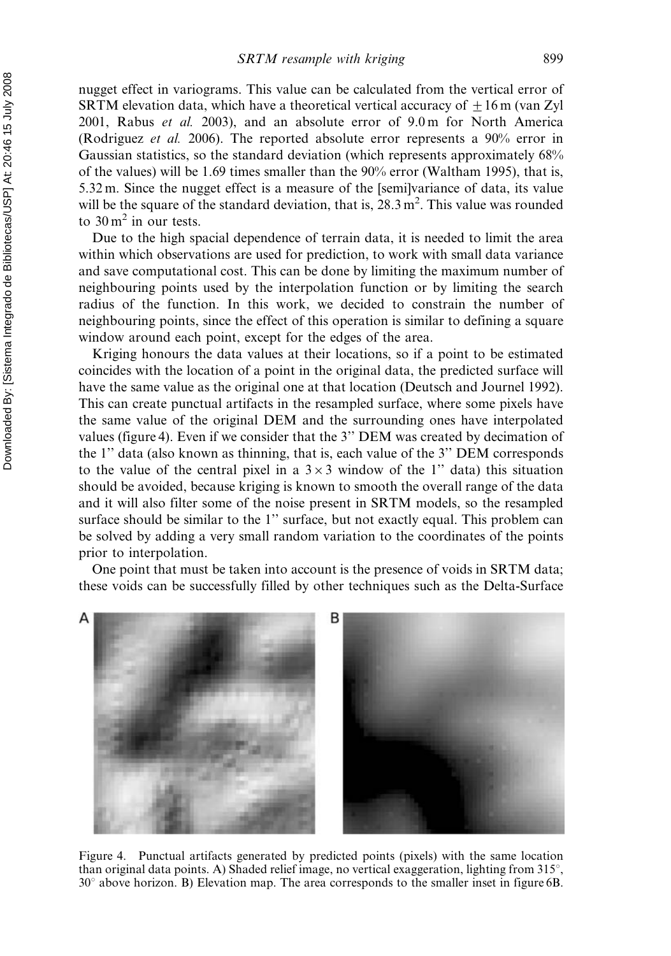nugget effect in variograms. This value can be calculated from the vertical error of SRTM elevation data, which have a theoretical vertical accuracy of  $\pm 16$  m (van Zyl 2001, Rabus et al. 2003), and an absolute error of 9.0 m for North America (Rodriguez et al. 2006). The reported absolute error represents a 90% error in Gaussian statistics, so the standard deviation (which represents approximately 68% of the values) will be 1.69 times smaller than the 90% error (Waltham 1995), that is, 5.32 m. Since the nugget effect is a measure of the [semi]variance of data, its value will be the square of the standard deviation, that is,  $28.3 \text{ m}^2$ . This value was rounded to  $30 \text{ m}^2$  in our tests.

Due to the high spacial dependence of terrain data, it is needed to limit the area within which observations are used for prediction, to work with small data variance and save computational cost. This can be done by limiting the maximum number of neighbouring points used by the interpolation function or by limiting the search radius of the function. In this work, we decided to constrain the number of neighbouring points, since the effect of this operation is similar to defining a square window around each point, except for the edges of the area.

Kriging honours the data values at their locations, so if a point to be estimated coincides with the location of a point in the original data, the predicted surface will have the same value as the original one at that location (Deutsch and Journel 1992). This can create punctual artifacts in the resampled surface, where some pixels have the same value of the original DEM and the surrounding ones have interpolated values (figure 4). Even if we consider that the 3'' DEM was created by decimation of the 1'' data (also known as thinning, that is, each value of the 3'' DEM corresponds to the value of the central pixel in a  $3\times3$  window of the 1" data) this situation should be avoided, because kriging is known to smooth the overall range of the data and it will also filter some of the noise present in SRTM models, so the resampled surface should be similar to the 1'' surface, but not exactly equal. This problem can be solved by adding a very small random variation to the coordinates of the points prior to interpolation.

One point that must be taken into account is the presence of voids in SRTM data; these voids can be successfully filled by other techniques such as the Delta-Surface



Figure 4. Punctual artifacts generated by predicted points (pixels) with the same location than original data points. A) Shaded relief image, no vertical exaggeration, lighting from  $315^{\circ}$ ,  $30^{\circ}$  above horizon. B) Elevation map. The area corresponds to the smaller inset in figure 6B.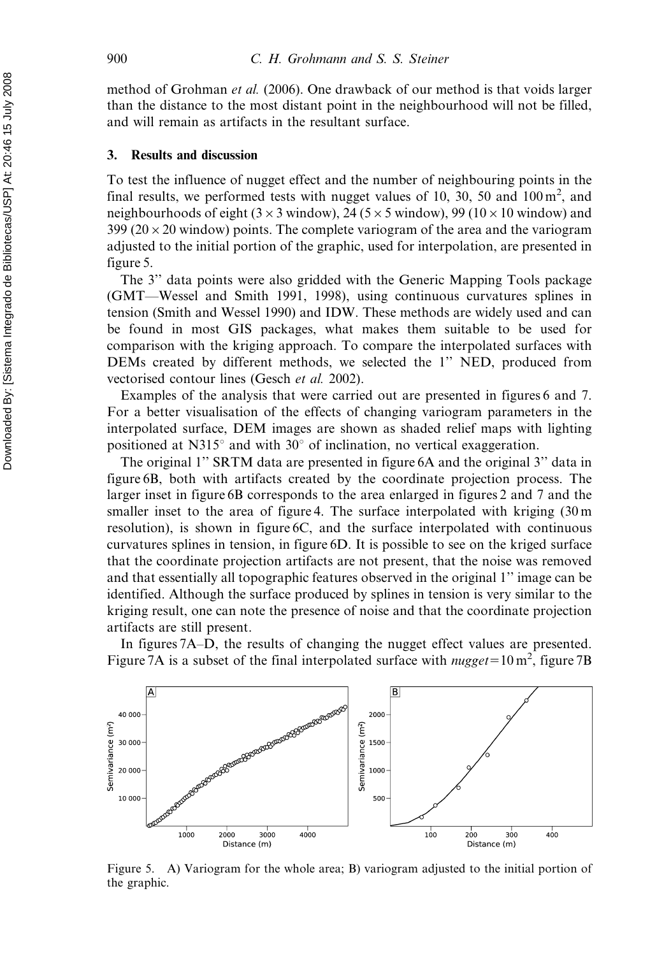method of Grohman et al. (2006). One drawback of our method is that voids larger than the distance to the most distant point in the neighbourhood will not be filled, and will remain as artifacts in the resultant surface.

## 3. Results and discussion

To test the influence of nugget effect and the number of neighbouring points in the final results, we performed tests with nugget values of 10, 30, 50 and  $100 \text{ m}^2$ , and neighbourhoods of eight ( $3 \times 3$  window), 24 ( $5 \times 5$  window), 99 ( $10 \times 10$  window) and  $399 (20 \times 20$  window) points. The complete variogram of the area and the variogram adjusted to the initial portion of the graphic, used for interpolation, are presented in figure 5.

The 3'' data points were also gridded with the Generic Mapping Tools package (GMT—Wessel and Smith 1991, 1998), using continuous curvatures splines in tension (Smith and Wessel 1990) and IDW. These methods are widely used and can be found in most GIS packages, what makes them suitable to be used for comparison with the kriging approach. To compare the interpolated surfaces with DEMs created by different methods, we selected the 1'' NED, produced from vectorised contour lines (Gesch et al. 2002).

Examples of the analysis that were carried out are presented in figures 6 and 7. For a better visualisation of the effects of changing variogram parameters in the interpolated surface, DEM images are shown as shaded relief maps with lighting positioned at N315 $\degree$  and with 30 $\degree$  of inclination, no vertical exaggeration.

The original 1'' SRTM data are presented in figure 6A and the original 3'' data in figure 6B, both with artifacts created by the coordinate projection process. The larger inset in figure 6B corresponds to the area enlarged in figures 2 and 7 and the smaller inset to the area of figure 4. The surface interpolated with kriging  $(30 \text{ m})$ resolution), is shown in figure 6C, and the surface interpolated with continuous curvatures splines in tension, in figure 6D. It is possible to see on the kriged surface that the coordinate projection artifacts are not present, that the noise was removed and that essentially all topographic features observed in the original 1'' image can be identified. Although the surface produced by splines in tension is very similar to the kriging result, one can note the presence of noise and that the coordinate projection artifacts are still present.

In figures 7A–D, the results of changing the nugget effect values are presented. Figure 7A is a subset of the final interpolated surface with *nugget*=10 m<sup>2</sup>, figure 7B



Figure 5. A) Variogram for the whole area; B) variogram adjusted to the initial portion of the graphic.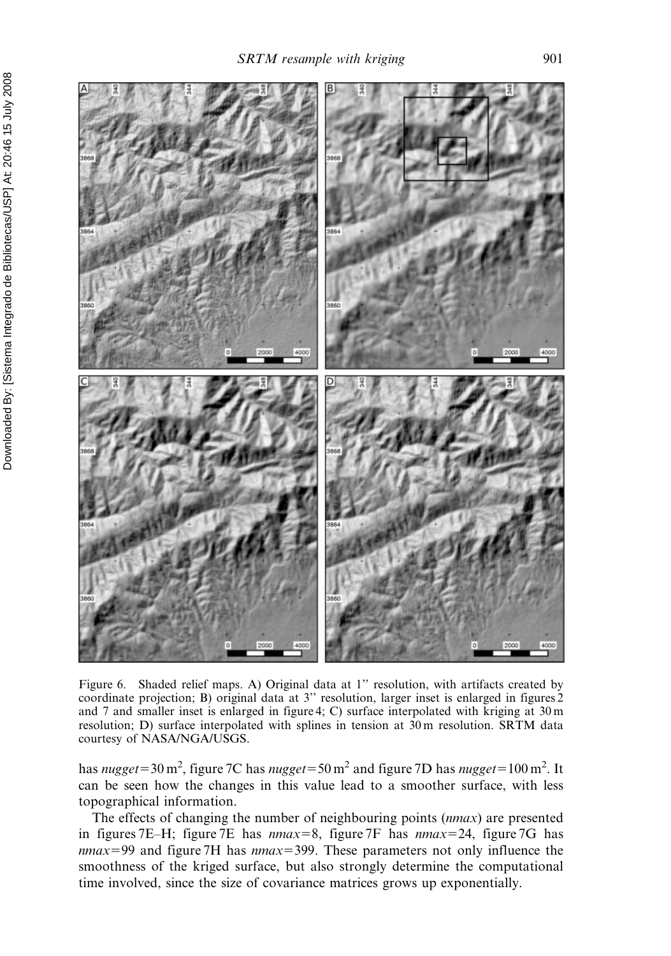

Figure 6. Shaded relief maps. A) Original data at 1'' resolution, with artifacts created by coordinate projection; B) original data at 3'' resolution, larger inset is enlarged in figures 2 and 7 and smaller inset is enlarged in figure 4; C) surface interpolated with kriging at 30 m resolution; D) surface interpolated with splines in tension at 30 m resolution. SRTM data courtesy of NASA/NGA/USGS.

has *nugget*=30 m<sup>2</sup>, figure 7C has *nugget*=50 m<sup>2</sup> and figure 7D has *nugget*=100 m<sup>2</sup>. It can be seen how the changes in this value lead to a smoother surface, with less topographical information.

The effects of changing the number of neighbouring points (nmax) are presented in figures 7E–H; figure 7E has  $nmax=8$ , figure 7F has  $nmax=24$ , figure 7G has  $nmax=99$  and figure 7H has  $nmax=399$ . These parameters not only influence the smoothness of the kriged surface, but also strongly determine the computational time involved, since the size of covariance matrices grows up exponentially.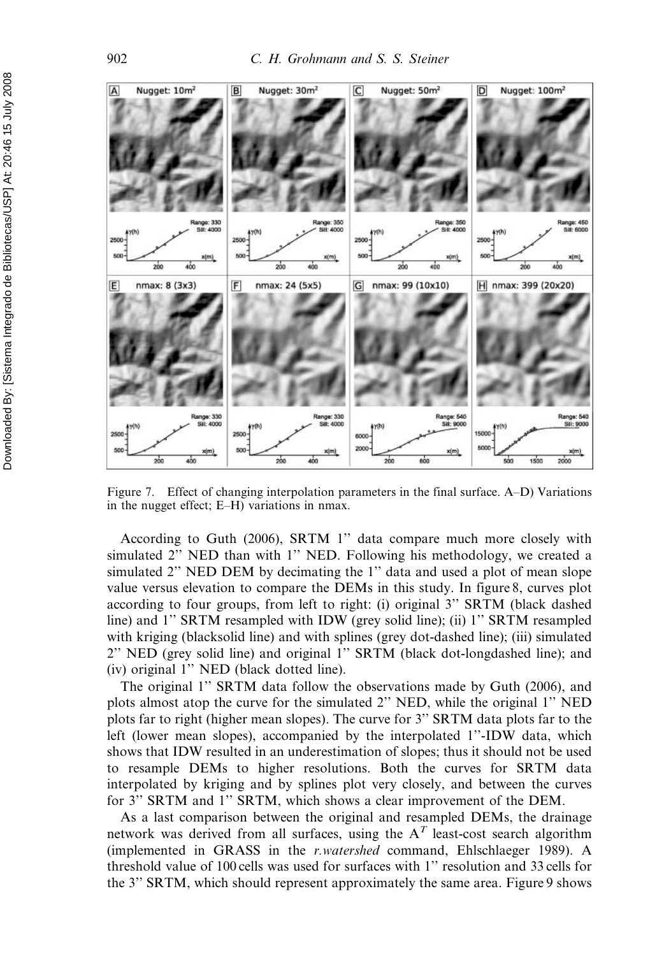

Figure 7. Effect of changing interpolation parameters in the final surface. A–D) Variations in the nugget effect; E–H) variations in nmax.

According to Guth (2006), SRTM 1'' data compare much more closely with simulated 2'' NED than with 1'' NED. Following his methodology, we created a simulated 2" NED DEM by decimating the 1" data and used a plot of mean slope value versus elevation to compare the DEMs in this study. In figure 8, curves plot according to four groups, from left to right: (i) original 3'' SRTM (black dashed line) and 1'' SRTM resampled with IDW (grey solid line); (ii) 1'' SRTM resampled with kriging (blacksolid line) and with splines (grey dot-dashed line); (iii) simulated 2'' NED (grey solid line) and original 1'' SRTM (black dot-longdashed line); and (iv) original 1'' NED (black dotted line).

The original 1'' SRTM data follow the observations made by Guth (2006), and plots almost atop the curve for the simulated 2'' NED, while the original 1'' NED plots far to right (higher mean slopes). The curve for 3'' SRTM data plots far to the left (lower mean slopes), accompanied by the interpolated 1''-IDW data, which shows that IDW resulted in an underestimation of slopes; thus it should not be used to resample DEMs to higher resolutions. Both the curves for SRTM data interpolated by kriging and by splines plot very closely, and between the curves for 3'' SRTM and 1'' SRTM, which shows a clear improvement of the DEM.

As a last comparison between the original and resampled DEMs, the drainage network was derived from all surfaces, using the  $A<sup>T</sup>$  least-cost search algorithm (implemented in GRASS in the r.watershed command, Ehlschlaeger 1989). A threshold value of 100 cells was used for surfaces with 1'' resolution and 33 cells for the 3'' SRTM, which should represent approximately the same area. Figure 9 shows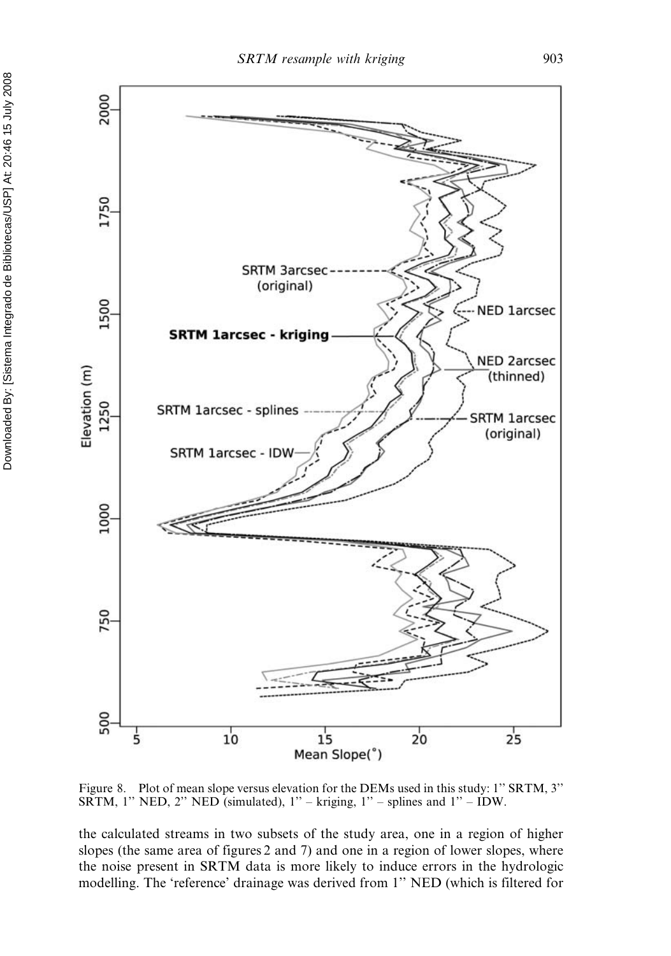

Figure 8. Plot of mean slope versus elevation for the DEMs used in this study: 1" SRTM, 3" SRTM, 1" NED, 2" NED (simulated),  $1"$  – kriging,  $1"$  – splines and  $1"$  – IDW.

the calculated streams in two subsets of the study area, one in a region of higher slopes (the same area of figures 2 and 7) and one in a region of lower slopes, where the noise present in SRTM data is more likely to induce errors in the hydrologic modelling. The 'reference' drainage was derived from 1'' NED (which is filtered for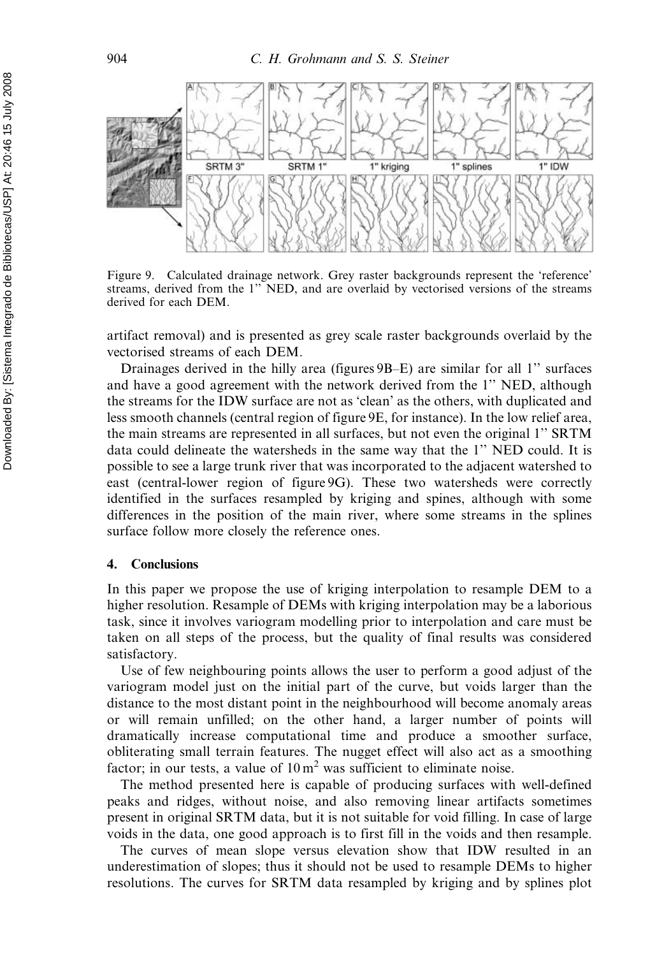

Figure 9. Calculated drainage network. Grey raster backgrounds represent the 'reference' streams, derived from the 1'' NED, and are overlaid by vectorised versions of the streams derived for each DEM.

artifact removal) and is presented as grey scale raster backgrounds overlaid by the vectorised streams of each DEM.

Drainages derived in the hilly area (figures 9B–E) are similar for all 1'' surfaces and have a good agreement with the network derived from the 1'' NED, although the streams for the IDW surface are not as 'clean' as the others, with duplicated and less smooth channels (central region of figure 9E, for instance). In the low relief area, the main streams are represented in all surfaces, but not even the original 1'' SRTM data could delineate the watersheds in the same way that the 1'' NED could. It is possible to see a large trunk river that was incorporated to the adjacent watershed to east (central-lower region of figure 9G). These two watersheds were correctly identified in the surfaces resampled by kriging and spines, although with some differences in the position of the main river, where some streams in the splines surface follow more closely the reference ones.

#### 4. Conclusions

In this paper we propose the use of kriging interpolation to resample DEM to a higher resolution. Resample of DEMs with kriging interpolation may be a laborious task, since it involves variogram modelling prior to interpolation and care must be taken on all steps of the process, but the quality of final results was considered satisfactory.

Use of few neighbouring points allows the user to perform a good adjust of the variogram model just on the initial part of the curve, but voids larger than the distance to the most distant point in the neighbourhood will become anomaly areas or will remain unfilled; on the other hand, a larger number of points will dramatically increase computational time and produce a smoother surface, obliterating small terrain features. The nugget effect will also act as a smoothing factor; in our tests, a value of  $10 \text{ m}^2$  was sufficient to eliminate noise.

The method presented here is capable of producing surfaces with well-defined peaks and ridges, without noise, and also removing linear artifacts sometimes present in original SRTM data, but it is not suitable for void filling. In case of large voids in the data, one good approach is to first fill in the voids and then resample.

The curves of mean slope versus elevation show that IDW resulted in an underestimation of slopes; thus it should not be used to resample DEMs to higher resolutions. The curves for SRTM data resampled by kriging and by splines plot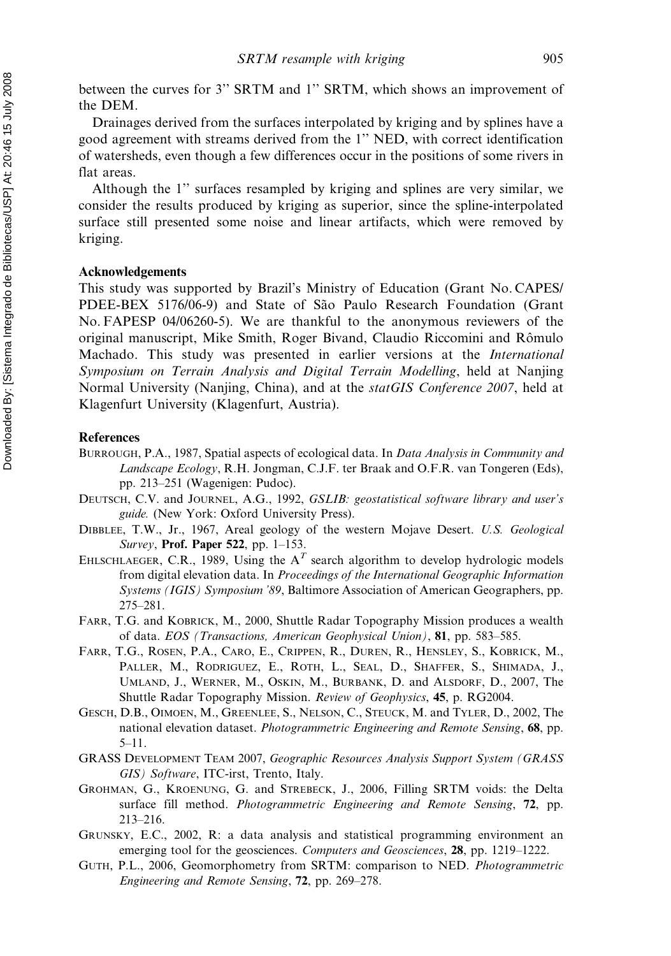between the curves for 3'' SRTM and 1'' SRTM, which shows an improvement of the DEM.

Drainages derived from the surfaces interpolated by kriging and by splines have a good agreement with streams derived from the 1'' NED, with correct identification of watersheds, even though a few differences occur in the positions of some rivers in flat areas.

Although the 1'' surfaces resampled by kriging and splines are very similar, we consider the results produced by kriging as superior, since the spline-interpolated surface still presented some noise and linear artifacts, which were removed by kriging.

#### Acknowledgements

This study was supported by Brazil's Ministry of Education (Grant No. CAPES/ PDEE-BEX 5176/06-9) and State of São Paulo Research Foundation (Grant No. FAPESP 04/06260-5). We are thankful to the anonymous reviewers of the original manuscript, Mike Smith, Roger Bivand, Claudio Riccomini and Rômulo Machado. This study was presented in earlier versions at the International Symposium on Terrain Analysis and Digital Terrain Modelling, held at Nanjing Normal University (Nanjing, China), and at the *statGIS Conference 2007*, held at Klagenfurt University (Klagenfurt, Austria).

#### **References**

- BURROUGH, P.A., 1987, Spatial aspects of ecological data. In Data Analysis in Community and Landscape Ecology, R.H. Jongman, C.J.F. ter Braak and O.F.R. van Tongeren (Eds), pp. 213–251 (Wagenigen: Pudoc).
- DEUTSCH, C.V. and JOURNEL, A.G., 1992, GSLIB: geostatistical software library and user's guide. (New York: Oxford University Press).
- DIBBLEE, T.W., Jr., 1967, Areal geology of the western Mojave Desert. U.S. Geological Survey, Prof. Paper 522, pp. 1–153.
- EHLSCHLAEGER, C.R., 1989, Using the  $A<sup>T</sup>$  search algorithm to develop hydrologic models from digital elevation data. In Proceedings of the International Geographic Information Systems (IGIS) Symposium '89, Baltimore Association of American Geographers, pp. 275–281.
- FARR, T.G. and KOBRICK, M., 2000, Shuttle Radar Topography Mission produces a wealth of data. EOS (Transactions, American Geophysical Union), 81, pp. 583–585.
- FARR, T.G., ROSEN, P.A., CARO, E., CRIPPEN, R., DUREN, R., HENSLEY, S., KOBRICK, M., PALLER, M., RODRIGUEZ, E., ROTH, L., SEAL, D., SHAFFER, S., SHIMADA, J., UMLAND, J., WERNER, M., OSKIN, M., BURBANK, D. and ALSDORF, D., 2007, The Shuttle Radar Topography Mission. Review of Geophysics, 45, p. RG2004.
- GESCH, D.B., OIMOEN, M., GREENLEE, S., NELSON, C., STEUCK, M. and TYLER, D., 2002, The national elevation dataset. Photogrammetric Engineering and Remote Sensing, 68, pp. 5–11.
- GRASS DEVELOPMENT TEAM 2007, Geographic Resources Analysis Support System (GRASS GIS) Software, ITC-irst, Trento, Italy.
- GROHMAN, G., KROENUNG, G. and STREBECK, J., 2006, Filling SRTM voids: the Delta surface fill method. *Photogrammetric Engineering and Remote Sensing*, 72, pp. 213–216.
- GRUNSKY, E.C., 2002, R: a data analysis and statistical programming environment an emerging tool for the geosciences. *Computers and Geosciences*, 28, pp. 1219–1222.
- GUTH, P.L., 2006, Geomorphometry from SRTM: comparison to NED. Photogrammetric Engineering and Remote Sensing, 72, pp. 269–278.